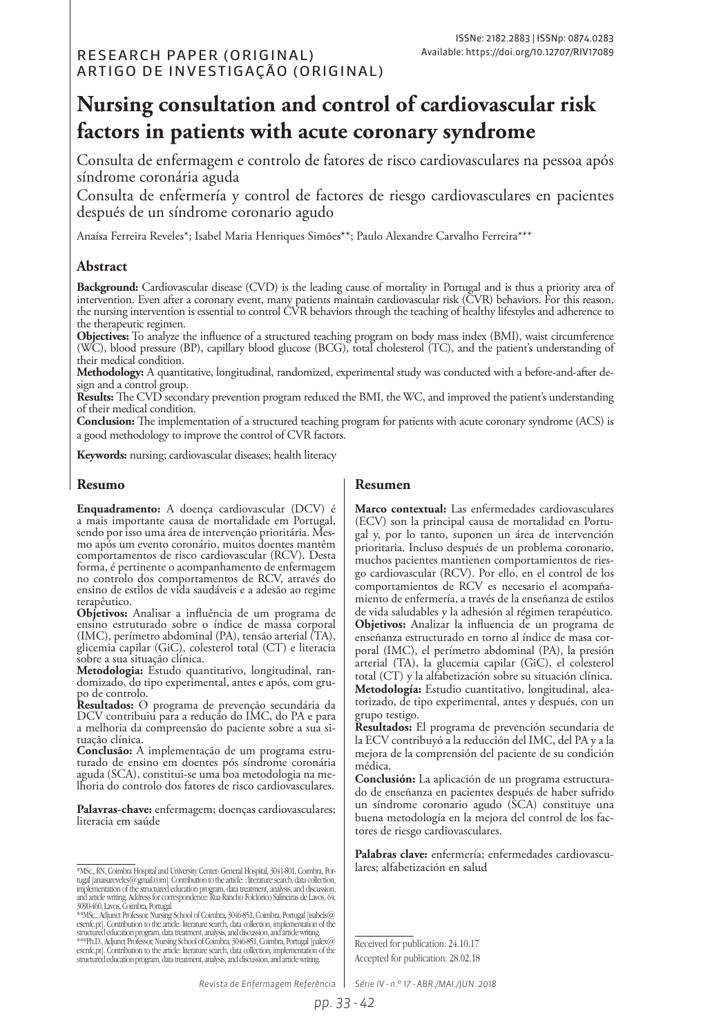# **Nursing consultation and control of cardiovascular risk factors in patients with acute coronary syndrome**

Consulta de enfermagem e controlo de fatores de risco cardiovasculares na pessoa após síndrome coronária aguda

Consulta de enfermería y control de factores de riesgo cardiovasculares en pacientes después de un síndrome coronario agudo

Anaísa Ferreira Reveles\*; Isabel Maria Henriques Simões\*\*; Paulo Alexandre Carvalho Ferreira\*\*\*

### **Abstract**

**Background:** Cardiovascular disease (CVD) is the leading cause of mortality in Portugal and is thus a priority area of intervention. Even after a coronary event, many patients maintain cardiovascular risk (CVR) behaviors. For this reason, the nursing intervention is essential to control CVR behaviors through the teaching of healthy lifestyles and adherence to the therapeutic regimen.

**Objectives:** To analyze the influence of a structured teaching program on body mass index (BMI), waist circumference (WC), blood pressure (BP), capillary blood glucose (BCG), total cholesterol (TC), and the patient's understanding of their medical condition.

**Methodology:** A quantitative, longitudinal, randomized, experimental study was conducted with a before-and-after design and a control group.

**Results:** The CVD secondary prevention program reduced the BMI, the WC, and improved the patient's understanding of their medical condition.

**Conclusion:** The implementation of a structured teaching program for patients with acute coronary syndrome (ACS) is a good methodology to improve the control of CVR factors.

**Keywords:** nursing; cardiovascular diseases; health literacy

### **Resumo**

**Enquadramento:** A doença cardiovascular (DCV) é a mais importante causa de mortalidade em Portugal, mo após um evento coronário, muitos doentes mantêm comportamentos de risco cardiovascular (RCV). Desta forma, é pertinente o acompanhamento de enfermagem no controlo dos comportamentos de RCV, através do ensino de estilos de vida saudáveis e a adesão ao regime terapêutico.<br>Objetivos: Analisar a influência de um programa de

ensino estruturado sobre o índice de massa corporal (IMC), perímetro abdominal (PA), tensão arterial (TA), glicemia capilar (GiC), colesterol total (CT) e literacia sobre a sua situação clínica.

**Metodologia:** Estudo quantitativo, longitudinal, ran- domizado, do tipo experimental, antes e após, com gru- po de controlo.

**Resultados:** O programa de prevenção secundária da DCV contribuiu para a redução do IMC, do PA e para a melhoria da compreensão do paciente sobre a sua si- tuação clínica.

**Conclusão:** A implementação de um programa estru- turado de ensino em doentes pós síndrome coronária aguda (SCA), constitui-se uma boa metodologia na melhoria do controlo dos fatores de risco cardiovasculares.

**Palavras-chave:** enfermagem; doenças cardiovasculares; literacia em saúde

\*\*\*Ph.D., Adjunct Professor, Nursing School of Coimbra, 3016-851, Coimbra, Portugal [palex@<br>esenfc.p1, Contribution to the article: literature search, data collection, implementation of the<br>structured education program, da

### **Resumen**

**Marco contextual:** Las enfermedades cardiovasculares (ECV) son la principal causa de mortalidad en Portugal y, por lo tanto, suponen un área de intervención prioritaria. Incluso después de un problema coronario, muchos pacientes mantienen comportamientos de riesgo cardiovascular (RCV). Por ello, en el control de los comportamientos de RCV es necesario el acompañamiento de enfermería, a través de la enseñanza de estilos de vida saludables y la adhesión al régimen terapéutico. **Objetivos:** Analizar la influencia de un programa de enseñanza estructurado en torno al índice de masa corporal (IMC), el perímetro abdominal (PA), la presión arterial (TA), la glucemia capilar (GiC), el colesterol total (CT) y la alfabetización sobre su situación clínica. **Metodología:** Estudio cuantitativo, longitudinal, aleatorizado, de tipo experimental, antes y después, con un grupo testigo.

**Resultados:** El programa de prevención secundaria de la ECV contribuyó a la reducción del IMC, del PA y a la mejora de la comprensión del paciente de su condición médica.

**Conclusión:** La aplicación de un programa estructurado de enseñanza en pacientes después de haber sufrido un síndrome coronario agudo (SCA) constituye una buena metodología en la mejora del control de los factores de riesgo cardiovasculares.

**Palabras clave:** enfermería; enfermedades cardiovascu-

Received for publication: 24.10.17 Accepted for publication: 28.02.18

*Revista de Enfermagem Referência Série IV - n.º 17 - ABR./MAI./JUN. 2018*

<sup>\*</sup>MSc., RN, Coimbra Hospital and University Center- General Hospital, 3041-801, Coimbra, Por- lares; alfabetización en salud tugal [anaisareveles(@gmail.com]. Contribution to the article: : literature search, clata collection,<br>implementation of the structured education program, data treatment, analysis, and discussion,<br>and article writing. Addre

<sup>3090-460,</sup> Lavos, Coimbra, Portugal. \*\*MSc., Adjunct Professor, Nursing School of Coimbra, 3046-851, Coimbra, Portugal [isabels@ esenfc.pt]. Contribution to the article: literature search, data collection, implementation of the structured education program, data treatment, analysis, and discussion, and article writing.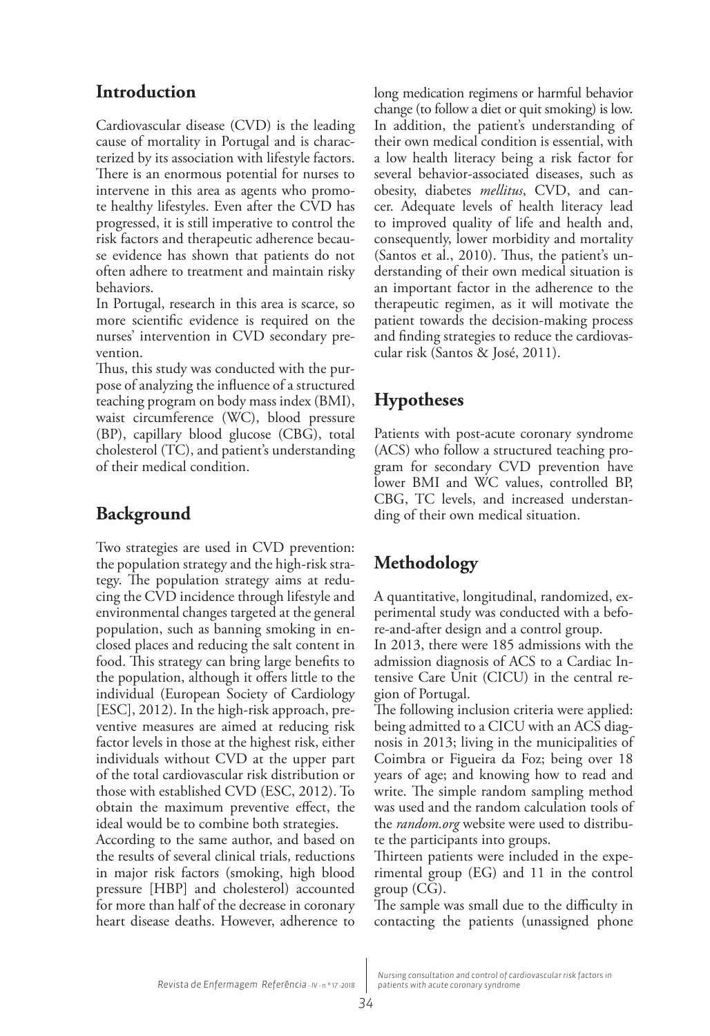## **Introduction**

Cardiovascular disease (CVD) is the leading cause of mortality in Portugal and is characterized by its association with lifestyle factors. There is an enormous potential for nurses to intervene in this area as agents who promote healthy lifestyles. Even after the CVD has progressed, it is still imperative to control the risk factors and therapeutic adherence because evidence has shown that patients do not often adhere to treatment and maintain risky behaviors.

In Portugal, research in this area is scarce, so more scientific evidence is required on the nurses' intervention in CVD secondary prevention.

Thus, this study was conducted with the purpose of analyzing the influence of a structured teaching program on body mass index (BMI), waist circumference (WC), blood pressure (BP), capillary blood glucose (CBG), total cholesterol (TC), and patient's understanding of their medical condition.

## **Background**

Two strategies are used in CVD prevention: the population strategy and the high-risk strategy. The population strategy aims at reducing the CVD incidence through lifestyle and environmental changes targeted at the general population, such as banning smoking in enclosed places and reducing the salt content in food. This strategy can bring large benefits to the population, although it offers little to the individual (European Society of Cardiology [ESC], 2012). In the high-risk approach, preventive measures are aimed at reducing risk factor levels in those at the highest risk, either individuals without CVD at the upper part of the total cardiovascular risk distribution or those with established CVD (ESC, 2012). To obtain the maximum preventive effect, the ideal would be to combine both strategies.

According to the same author, and based on the results of several clinical trials, reductions in major risk factors (smoking, high blood pressure [HBP] and cholesterol) accounted for more than half of the decrease in coronary heart disease deaths. However, adherence to

long medication regimens or harmful behavior change (to follow a diet or quit smoking) is low. In addition, the patient's understanding of their own medical condition is essential, with a low health literacy being a risk factor for several behavior-associated diseases, such as obesity, diabetes *mellitus*, CVD, and cancer. Adequate levels of health literacy lead to improved quality of life and health and, consequently, lower morbidity and mortality (Santos et al., 2010). Thus, the patient's understanding of their own medical situation is an important factor in the adherence to the therapeutic regimen, as it will motivate the patient towards the decision-making process and finding strategies to reduce the cardiovascular risk (Santos & José, 2011).

## **Hypotheses**

Patients with post-acute coronary syndrome (ACS) who follow a structured teaching program for secondary CVD prevention have lower BMI and WC values, controlled BP, CBG, TC levels, and increased understanding of their own medical situation.

## **Methodology**

A quantitative, longitudinal, randomized, experimental study was conducted with a before-and-after design and a control group.

In 2013, there were 185 admissions with the admission diagnosis of ACS to a Cardiac Intensive Care Unit (CICU) in the central region of Portugal.

The following inclusion criteria were applied: being admitted to a CICU with an ACS diagnosis in 2013; living in the municipalities of Coimbra or Figueira da Foz; being over 18 years of age; and knowing how to read and write. The simple random sampling method was used and the random calculation tools of the *random.org* website were used to distribute the participants into groups.

Thirteen patients were included in the experimental group (EG) and 11 in the control group (CG).

The sample was small due to the difficulty in contacting the patients (unassigned phone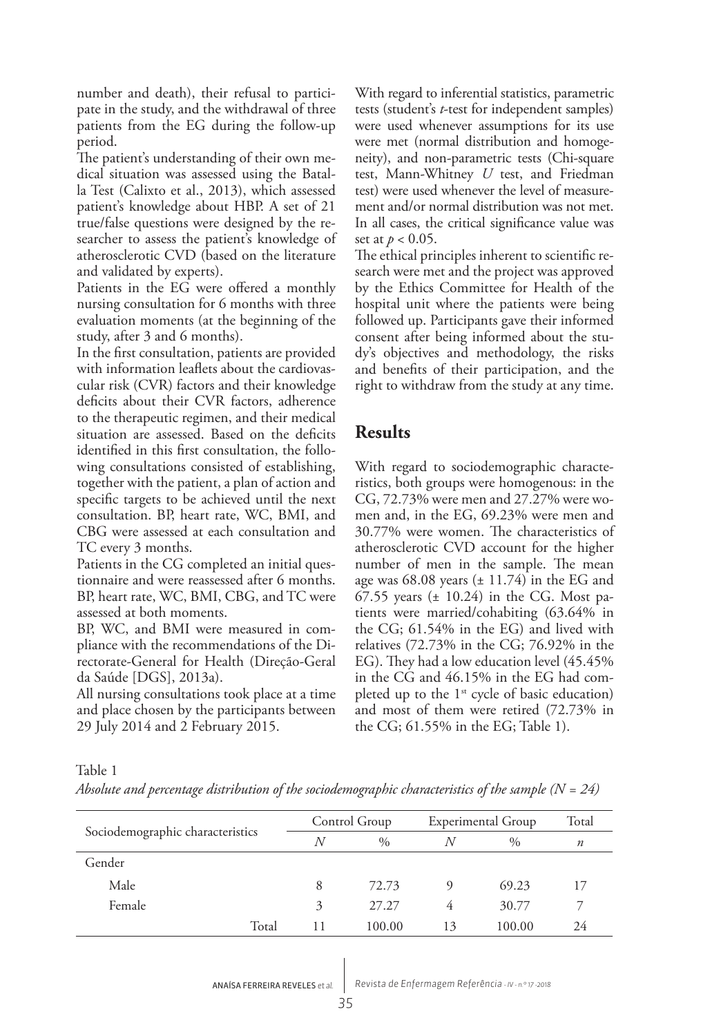number and death), their refusal to participate in the study, and the withdrawal of three patients from the EG during the follow-up period.

The patient's understanding of their own medical situation was assessed using the Batalla Test (Calixto et al., 2013), which assessed patient's knowledge about HBP. A set of 21 true/false questions were designed by the researcher to assess the patient's knowledge of atherosclerotic CVD (based on the literature and validated by experts).

Patients in the EG were offered a monthly nursing consultation for 6 months with three evaluation moments (at the beginning of the study, after 3 and 6 months).

In the first consultation, patients are provided with information leaflets about the cardiovascular risk (CVR) factors and their knowledge deficits about their CVR factors, adherence to the therapeutic regimen, and their medical situation are assessed. Based on the deficits identified in this first consultation, the following consultations consisted of establishing, together with the patient, a plan of action and specific targets to be achieved until the next consultation. BP, heart rate, WC, BMI, and CBG were assessed at each consultation and TC every 3 months.

Patients in the CG completed an initial questionnaire and were reassessed after 6 months. BP, heart rate, WC, BMI, CBG, and TC were assessed at both moments.

BP, WC, and BMI were measured in compliance with the recommendations of the Directorate-General for Health (Direção-Geral da Saúde [DGS], 2013a).

All nursing consultations took place at a time and place chosen by the participants between 29 July 2014 and 2 February 2015.

With regard to inferential statistics, parametric tests (student's *t*-test for independent samples) were used whenever assumptions for its use were met (normal distribution and homogeneity), and non-parametric tests (Chi-square test, Mann-Whitney *U* test, and Friedman test) were used whenever the level of measurement and/or normal distribution was not met. In all cases, the critical significance value was set at  $p < 0.05$ .

The ethical principles inherent to scientific research were met and the project was approved by the Ethics Committee for Health of the hospital unit where the patients were being followed up. Participants gave their informed consent after being informed about the study's objectives and methodology, the risks and benefits of their participation, and the right to withdraw from the study at any time.

### **Results**

With regard to sociodemographic characteristics, both groups were homogenous: in the CG, 72.73% were men and 27.27% were women and, in the EG, 69.23% were men and 30.77% were women. The characteristics of atherosclerotic CVD account for the higher number of men in the sample. The mean age was  $68.08$  years  $(\pm 11.74)$  in the EG and 67.55 years  $(\pm 10.24)$  in the CG. Most patients were married/cohabiting (63.64% in the CG; 61.54% in the EG) and lived with relatives (72.73% in the CG; 76.92% in the EG). They had a low education level (45.45% in the CG and 46.15% in the EG had completed up to the  $1<sup>st</sup>$  cycle of basic education) and most of them were retired (72.73% in the CG; 61.55% in the EG; Table 1).

| ×. | I | - 1 |
|----|---|-----|
|    |   |     |

*Absolute and percentage distribution of the sociodemographic characteristics of the sample (N = 24)*

|                                  |   | Control Group |    | Experimental Group |                  |  |
|----------------------------------|---|---------------|----|--------------------|------------------|--|
| Sociodemographic characteristics | N | $\frac{0}{0}$ | N  | $\frac{0}{0}$      | $\boldsymbol{n}$ |  |
| Gender                           |   |               |    |                    |                  |  |
| Male                             | 8 | 72.73         | Q) | 69.23              | 17               |  |
| Female                           | 3 | 27.27         | 4  | 30.77              |                  |  |
| Total                            |   | 100.00        | 13 | 100.00             | 24               |  |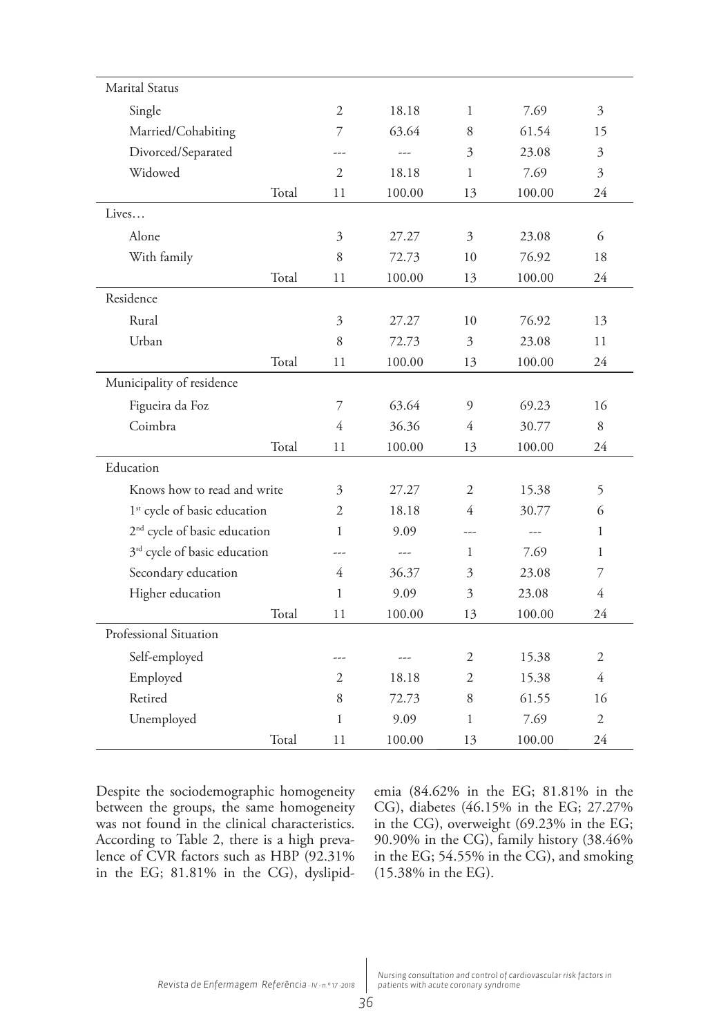| <b>Marital Status</b>                    |       |                |        |                |        |                |
|------------------------------------------|-------|----------------|--------|----------------|--------|----------------|
| Single                                   |       | $\overline{2}$ | 18.18  | 1              | 7.69   | 3              |
| Married/Cohabiting                       |       | 7              | 63.64  | 8              | 61.54  | 15             |
| Divorced/Separated                       |       |                |        | 3              | 23.08  | 3              |
| Widowed                                  |       | $\overline{2}$ | 18.18  | 1              | 7.69   | 3              |
|                                          | Total | 11             | 100.00 | 13             | 100.00 | 24             |
| Lives                                    |       |                |        |                |        |                |
| Alone                                    |       | $\mathfrak{Z}$ | 27.27  | $\mathfrak{Z}$ | 23.08  | 6              |
| With family                              |       | $\,8\,$        | 72.73  | 10             | 76.92  | 18             |
|                                          | Total | 11             | 100.00 | 13             | 100.00 | 24             |
| Residence                                |       |                |        |                |        |                |
| Rural                                    |       | $\overline{3}$ | 27.27  | 10             | 76.92  | 13             |
| Urban                                    |       | 8              | 72.73  | 3              | 23.08  | 11             |
|                                          | Total | 11             | 100.00 | 13             | 100.00 | 24             |
| Municipality of residence                |       |                |        |                |        |                |
| Figueira da Foz                          |       | $\overline{7}$ | 63.64  | 9              | 69.23  | 16             |
| Coimbra                                  |       | 4              | 36.36  | $\overline{4}$ | 30.77  | $\,8\,$        |
|                                          | Total | 11             | 100.00 | 13             | 100.00 | 24             |
| Education                                |       |                |        |                |        |                |
| Knows how to read and write              |       | 3              | 27.27  | $\mathfrak{2}$ | 15.38  | 5              |
| 1 <sup>st</sup> cycle of basic education |       | $\overline{2}$ | 18.18  | $\overline{4}$ | 30.77  | 6              |
| 2 <sup>nd</sup> cycle of basic education |       | $\mathbf{1}$   | 9.09   | ---            |        | 1              |
| 3 <sup>rd</sup> cycle of basic education |       | ---            | $---$  | $\mathbf{1}$   | 7.69   | 1              |
| Secondary education                      |       | $\overline{4}$ | 36.37  | 3              | 23.08  | 7              |
| Higher education                         |       | $\mathbf{1}$   | 9.09   | 3              | 23.08  | 4              |
|                                          | Total | 11             | 100.00 | 13             | 100.00 | 24             |
| Professional Situation                   |       |                |        |                |        |                |
| Self-employed                            |       |                |        | 2              | 15.38  | $\sqrt{2}$     |
| Employed                                 |       | 2              | 18.18  | $\overline{2}$ | 15.38  | $\overline{4}$ |
| Retired                                  |       | 8              | 72.73  | 8              | 61.55  | 16             |
| Unemployed                               |       | $\mathbf{1}$   | 9.09   | 1              | 7.69   | $\mathfrak{2}$ |
|                                          | Total | 11             | 100.00 | 13             | 100.00 | 24             |

Despite the sociodemographic homogeneity between the groups, the same homogeneity was not found in the clinical characteristics. According to Table 2, there is a high prevalence of CVR factors such as HBP (92.31% in the EG; 81.81% in the CG), dyslipidemia (84.62% in the EG; 81.81% in the CG), diabetes (46.15% in the EG; 27.27% in the CG), overweight (69.23% in the EG; 90.90% in the CG), family history (38.46% in the EG; 54.55% in the CG), and smoking (15.38% in the EG).

*Nursing consultation and control of cardiovascular risk factors in patients with acute coronary syndrome*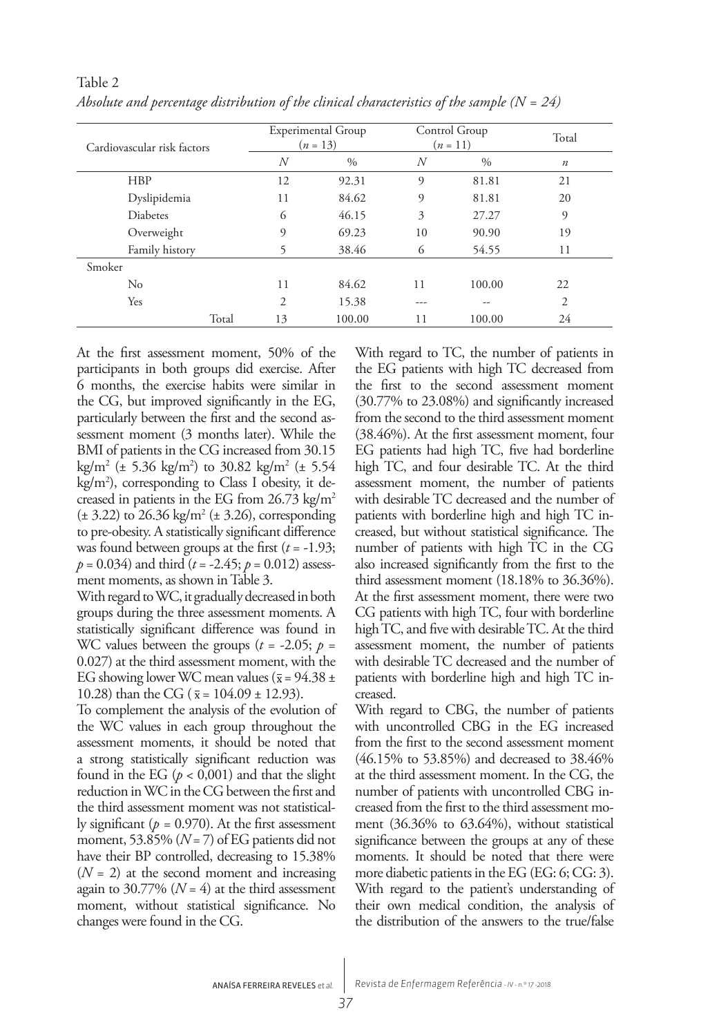| Cardiovascular risk factors |    | Experimental Group<br>$(n = 13)$ |                | Control Group<br>$(n = 11)$ | Total            |
|-----------------------------|----|----------------------------------|----------------|-----------------------------|------------------|
|                             | N  | $\%$                             | $\overline{N}$ | $\%$                        | $\boldsymbol{n}$ |
| <b>HBP</b>                  | 12 | 92.31                            | 9              | 81.81                       | 21               |
| Dyslipidemia                | 11 | 84.62                            | 9              | 81.81                       | 20               |
| <b>Diabetes</b>             | 6  | 46.15                            | 3              | 27.27                       | 9                |
| Overweight                  | 9  | 69.23                            | 10             | 90.90                       | 19               |
| Family history              |    | 38.46                            | 6              | 54.55                       | 11               |
| Smoker                      |    |                                  |                |                             |                  |
| $\rm No$                    | 11 | 84.62                            | 11             | 100.00                      | 22               |
| Yes                         | 2  | 15.38                            | ---            | --                          | 2                |
| Total                       | 13 | 100.00                           | 11             | 100.00                      | 24               |

Table 2 *Absolute and percentage distribution of the clinical characteristics of the sample (N = 24)*

At the first assessment moment, 50% of the participants in both groups did exercise. After 6 months, the exercise habits were similar in the CG, but improved significantly in the EG, particularly between the first and the second assessment moment (3 months later). While the BMI of patients in the CG increased from 30.15 kg/m2 (± 5.36 kg/m2 ) to 30.82 kg/m2 (± 5.54 kg/m2 ), corresponding to Class I obesity, it decreased in patients in the EG from  $26.73 \text{ kg/m}^2$  $(\pm 3.22)$  to 26.36 kg/m<sup>2</sup> ( $\pm 3.26$ ), corresponding to pre-obesity. A statistically significant difference was found between groups at the first (*t* = -1.93; *p* = 0.034) and third (*t* = -2.45; *p* = 0.012) assessment moments, as shown in Table 3.

With regard to WC, it gradually decreased in both groups during the three assessment moments. A statistically significant difference was found in WC values between the groups  $(t = -2.05; p =$ 0.027) at the third assessment moment, with the EG showing lower WC mean values ( $\overline{x}$  = 94.38 ± 10.28) than the CG ( $\bar{x}$  = 104.09 ± 12.93).

To complement the analysis of the evolution of the WC values in each group throughout the assessment moments, it should be noted that a strong statistically significant reduction was found in the EG ( $p < 0,001$ ) and that the slight reduction in WC in the CG between the first and the third assessment moment was not statistically significant ( $p = 0.970$ ). At the first assessment moment,  $53.85\%$  ( $N = 7$ ) of EG patients did not have their BP controlled, decreasing to 15.38%  $(N = 2)$  at the second moment and increasing again to 30.77% ( $N = 4$ ) at the third assessment moment, without statistical significance. No changes were found in the CG.

With regard to TC, the number of patients in the EG patients with high TC decreased from the first to the second assessment moment (30.77% to 23.08%) and significantly increased from the second to the third assessment moment (38.46%). At the first assessment moment, four EG patients had high TC, five had borderline high TC, and four desirable TC. At the third assessment moment, the number of patients with desirable TC decreased and the number of patients with borderline high and high TC increased, but without statistical significance. The number of patients with high TC in the CG also increased significantly from the first to the third assessment moment (18.18% to 36.36%). At the first assessment moment, there were two CG patients with high TC, four with borderline high TC, and five with desirable TC. At the third assessment moment, the number of patients with desirable TC decreased and the number of patients with borderline high and high TC increased.

With regard to CBG, the number of patients with uncontrolled CBG in the EG increased from the first to the second assessment moment (46.15% to 53.85%) and decreased to 38.46% at the third assessment moment. In the CG, the number of patients with uncontrolled CBG increased from the first to the third assessment moment (36.36% to 63.64%), without statistical significance between the groups at any of these moments. It should be noted that there were more diabetic patients in the EG (EG: 6; CG: 3). With regard to the patient's understanding of their own medical condition, the analysis of the distribution of the answers to the true/false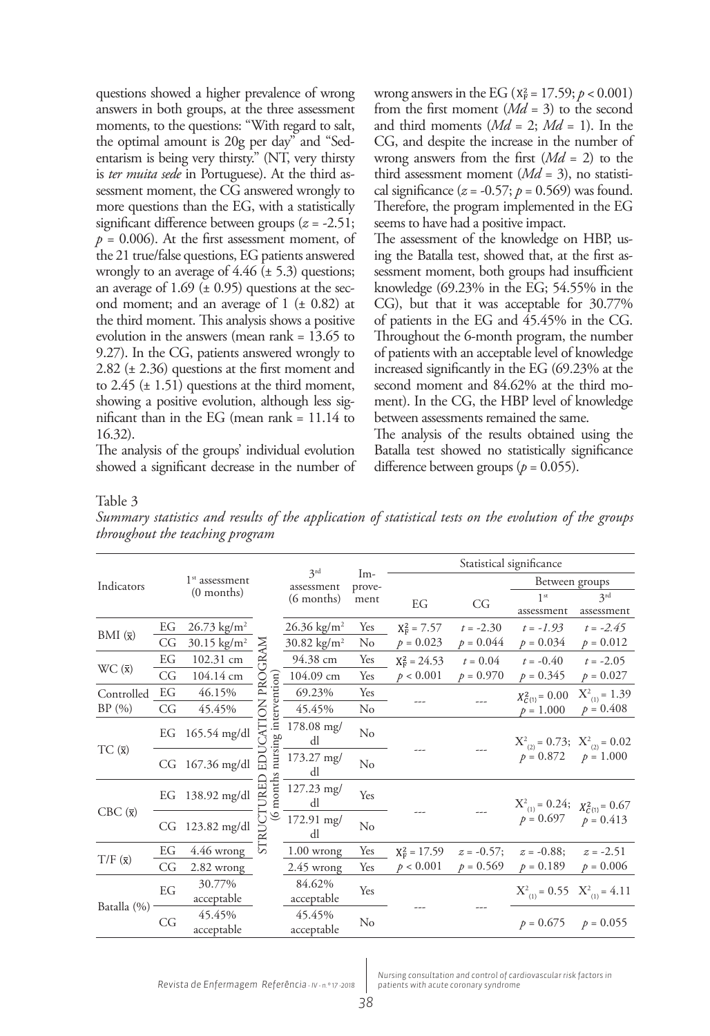questions showed a higher prevalence of wrong answers in both groups, at the three assessment moments, to the questions: "With regard to salt, the optimal amount is 20g per day" and "Sedentarism is being very thirsty." (NT, very thirsty is *ter muita sede* in Portuguese). At the third assessment moment, the CG answered wrongly to more questions than the EG, with a statistically significant difference between groups (*z* = -2.51;  $p = 0.006$ . At the first assessment moment, of the 21 true/false questions, EG patients answered wrongly to an average of  $4.46 \ (\pm 5.3)$  questions; an average of  $1.69 \ (\pm 0.95)$  questions at the second moment; and an average of  $1$  ( $\pm$  0.82) at the third moment. This analysis shows a positive evolution in the answers (mean rank = 13.65 to 9.27). In the CG, patients answered wrongly to 2.82 (± 2.36) questions at the first moment and to 2.45  $(\pm 1.51)$  questions at the third moment, showing a positive evolution, although less significant than in the EG (mean rank  $= 11.14$  to 16.32).

The analysis of the groups' individual evolution showed a significant decrease in the number of wrong answers in the EG ( $x_F^2 = 17.59$ ;  $p < 0.001$ ) from the first moment (*Md* = 3) to the second and third moments  $(Md = 2; Md = 1)$ . In the CG, and despite the increase in the number of wrong answers from the first (*Md* = 2) to the third assessment moment (*Md* = 3), no statistical significance  $(z = -0.57; p = 0.569)$  was found. Therefore, the program implemented in the EG seems to have had a positive impact.

The assessment of the knowledge on HBP, using the Batalla test, showed that, at the first assessment moment, both groups had insufficient knowledge (69.23% in the EG; 54.55% in the CG), but that it was acceptable for 30.77% of patients in the EG and 45.45% in the CG. Throughout the 6-month program, the number of patients with an acceptable level of knowledge increased significantly in the EG (69.23% at the second moment and 84.62% at the third moment). In the CG, the HBP level of knowledge between assessments remained the same.

The analysis of the results obtained using the Batalla test showed no statistically significance difference between groups  $(p = 0.055)$ .

#### Table 3

*Summary statistics and results of the application of statistical tests on the evolution of the groups throughout the teaching program*

|                      |              |                        |                        |                         |                 | Statistical significance |               |                                                                     |                                         |  |
|----------------------|--------------|------------------------|------------------------|-------------------------|-----------------|--------------------------|---------------|---------------------------------------------------------------------|-----------------------------------------|--|
| Indicators           |              | $1st$ assessment       |                        | 3rd<br>assessment       | $Im-$<br>prove- |                          |               |                                                                     | Between groups                          |  |
|                      | $(0$ months) |                        |                        | $(6$ months)            | ment            | EG                       | CG            | 1 <sup>st</sup><br>assessment                                       | 2rd<br>assessment                       |  |
|                      | EG           | $26.73 \text{ kg/m}^2$ |                        | $26.36 \text{ kg/m}^2$  | Yes             | $X_F^2 = 7.57$           | $t = -2.30$   | $t = -1.93$                                                         | $t = -2.45$                             |  |
| BMI $(\overline{x})$ | CG           | $30.15 \text{ kg/m}^2$ | ℥                      | 30.82 kg/m <sup>2</sup> | No              | $p = 0.023$              | $p = 0.044$   | $p = 0.034$                                                         | $p = 0.012$                             |  |
|                      | EG           | 102.31 cm              | ≃                      | 94.38 cm                | Yes             | $X_F^2 = 24.53$          | $t = 0.04$    | $t = -0.40$                                                         | $t = -2.05$                             |  |
| $WC(\bar{x})$        | CG           | 104.14 cm              | PRO                    | 104.09 cm               | Yes             | p < 0.001                | $p = 0.970$   | $p = 0.345$                                                         | $p = 0.027$                             |  |
| Controlled EG        |              | 46.15%                 |                        | 69.23%                  | Yes             |                          |               | $X_{C(1)}^2 = 0.00$                                                 | $X_{(1)}^2 = 1.39$                      |  |
| BP(%)                | CG           | 45.45%                 | z                      | 45.45%                  | $\rm No$        |                          |               | $p = 1.000$                                                         | $p = 0.408$                             |  |
| TC(x)                | EG           | 165.54 mg/dl           | nursing intervention   | $178.08$ mg/<br>dl      | $\rm No$        |                          |               |                                                                     | $X_{(2)}^2 = 0.73$ ; $X_{(2)}^2 = 0.02$ |  |
|                      | CG           | 167.36 mg/dl           |                        | 173.27 mg/<br>dl        | $\rm No$        |                          |               | $p = 0.872$ $p = 1.000$                                             |                                         |  |
| $CBC(\overline{x})$  | EG           | 138.92 mg/dl           | month<br>$\mathcal{O}$ | 127.23 mg/<br>dl        | Yes             |                          |               | $X_{(1)}^2 = 0.24$ ; $X_{C(1)}^2 = 0.67$<br>$p = 0.697$ $p = 0.413$ |                                         |  |
|                      | CG           | $123.82 \text{ mg/dl}$ |                        | 172.91 mg/<br>dl        | $\rm No$        |                          |               |                                                                     |                                         |  |
|                      | EG           | 4.46 wrong             | અં                     | $1.00$ wrong            | Yes             | $X_F^2 = 17.59$          | $z = -0.57$ ; | $z = -0.88$ ;                                                       | $z = -2.51$                             |  |
| $T/F(\bar{x})$       | CG           | $2.82$ wrong           |                        | $2.45$ wrong            | Yes             | p < 0.001                | $p = 0.569$   | $p = 0.189$                                                         | $p = 0.006$                             |  |
| Batalla (%)          | EG           | 30.77%<br>acceptable   |                        | 84.62%<br>acceptable    | Yes             |                          |               | $X_{(1)}^2 = 0.55$ $X_{(1)}^2 = 4.11$                               |                                         |  |
|                      | CG           | 45.45%<br>acceptable   |                        | 45.45%<br>acceptable    | $\rm No$        |                          |               |                                                                     | $p = 0.675$ $p = 0.055$                 |  |

*Nursing consultation and control of cardiovascular risk factors in patients with acute coronary syndrome*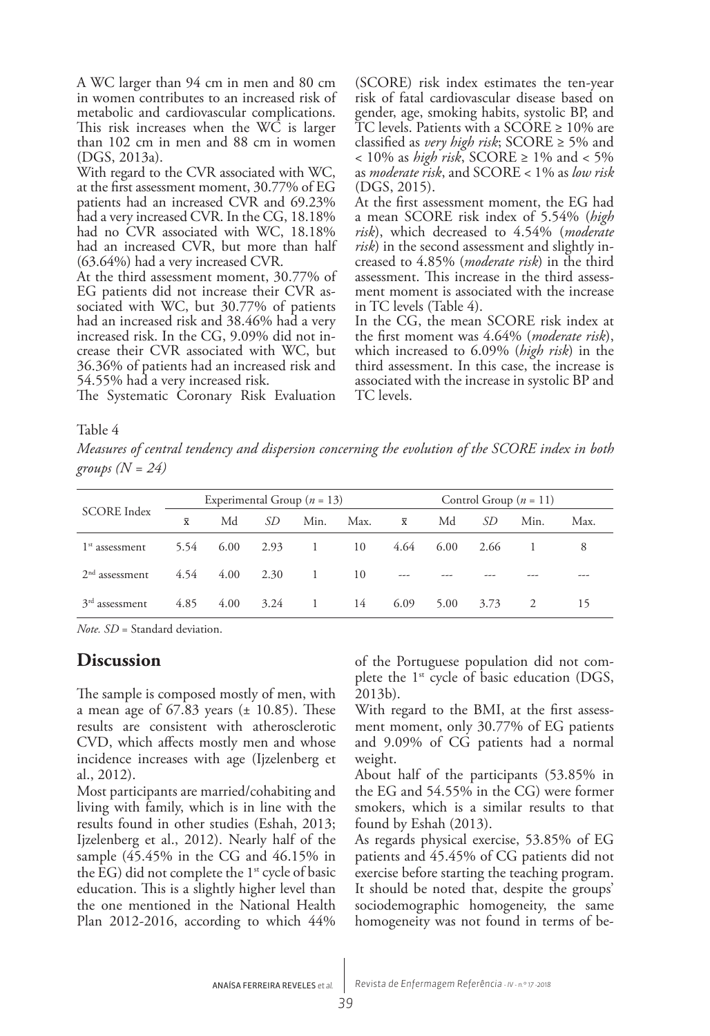A WC larger than 94 cm in men and 80 cm in women contributes to an increased risk of metabolic and cardiovascular complications. This risk increases when the WC is larger than 102 cm in men and 88 cm in women (DGS, 2013a).

With regard to the CVR associated with WC, at the first assessment moment, 30.77% of EG patients had an increased CVR and 69.23% had a very increased CVR. In the CG, 18.18% had no CVR associated with WC, 18.18% had an increased CVR, but more than half (63.64%) had a very increased CVR.

At the third assessment moment, 30.77% of EG patients did not increase their CVR associated with WC, but 30.77% of patients had an increased risk and 38.46% had a very increased risk. In the CG, 9.09% did not increase their CVR associated with WC, but 36.36% of patients had an increased risk and 54.55% had a very increased risk.

The Systematic Coronary Risk Evaluation

(SCORE) risk index estimates the ten-year risk of fatal cardiovascular disease based on gender, age, smoking habits, systolic BP, and TC levels. Patients with a SCORE ≥ 10% are classified as *very high risk*; SCORE ≥ 5% and < 10% as *high risk*, SCORE ≥ 1% and < 5% as *moderate risk*, and SCORE < 1% as *low risk* (DGS, 2015).

At the first assessment moment, the EG had a mean SCORE risk index of 5.54% (*high risk*), which decreased to 4.54% (*moderate risk*) in the second assessment and slightly increased to 4.85% (*moderate risk*) in the third assessment. This increase in the third assessment moment is associated with the increase in TC levels (Table 4).

In the CG, the mean SCORE risk index at the first moment was 4.64% (*moderate risk*), which increased to 6.09% (*high risk*) in the third assessment. In this case, the increase is associated with the increase in systolic BP and TC levels.

#### Table 4

*Measures of central tendency and dispersion concerning the evolution of the SCORE index in both groups (N = 24)*

| <b>SCORE</b> Index         | Experimental Group ( $n = 13$ ) |      |      |                |      |                         | Control Group $(n = 11)$ |      |      |      |  |
|----------------------------|---------------------------------|------|------|----------------|------|-------------------------|--------------------------|------|------|------|--|
|                            | $\overline{\mathbf{x}}$         | Md   | SD.  | Min.           | Max. | $\overline{\mathbf{x}}$ | Md                       | SD   | Min. | Max. |  |
| 1 <sup>st</sup> assessment | 5.54                            | 6.00 | 2.93 | $\overline{1}$ | 10   | 4.64                    | $6.00^{\circ}$           | 2.66 |      |      |  |
| $2nd$ assessment           | 4.54                            | 4.00 | 2.30 | $\overline{1}$ | 10   | $---$                   |                          |      |      |      |  |
| $3rd$ assessment           | 4.85                            | 4.00 | 3.24 | $\overline{1}$ | 14   | 6.09                    | 5.00                     | 3.73 |      | 15   |  |

*Note. SD* = Standard deviation.

### **Discussion**

The sample is composed mostly of men, with a mean age of  $67.83$  years ( $\pm$  10.85). These results are consistent with atherosclerotic CVD, which affects mostly men and whose incidence increases with age (Ijzelenberg et al., 2012).

Most participants are married/cohabiting and living with family, which is in line with the results found in other studies (Eshah, 2013; Ijzelenberg et al., 2012). Nearly half of the sample (45.45% in the CG and 46.15% in the EG) did not complete the  $1<sup>st</sup>$  cycle of basic education. This is a slightly higher level than the one mentioned in the National Health Plan 2012-2016, according to which 44%

of the Portuguese population did not complete the 1<sup>st</sup> cycle of basic education (DGS, 2013b).

With regard to the BMI, at the first assessment moment, only 30.77% of EG patients and 9.09% of CG patients had a normal weight.

About half of the participants (53.85% in the EG and 54.55% in the CG) were former smokers, which is a similar results to that found by Eshah (2013).

As regards physical exercise, 53.85% of EG patients and 45.45% of CG patients did not exercise before starting the teaching program. It should be noted that, despite the groups' sociodemographic homogeneity, the same homogeneity was not found in terms of be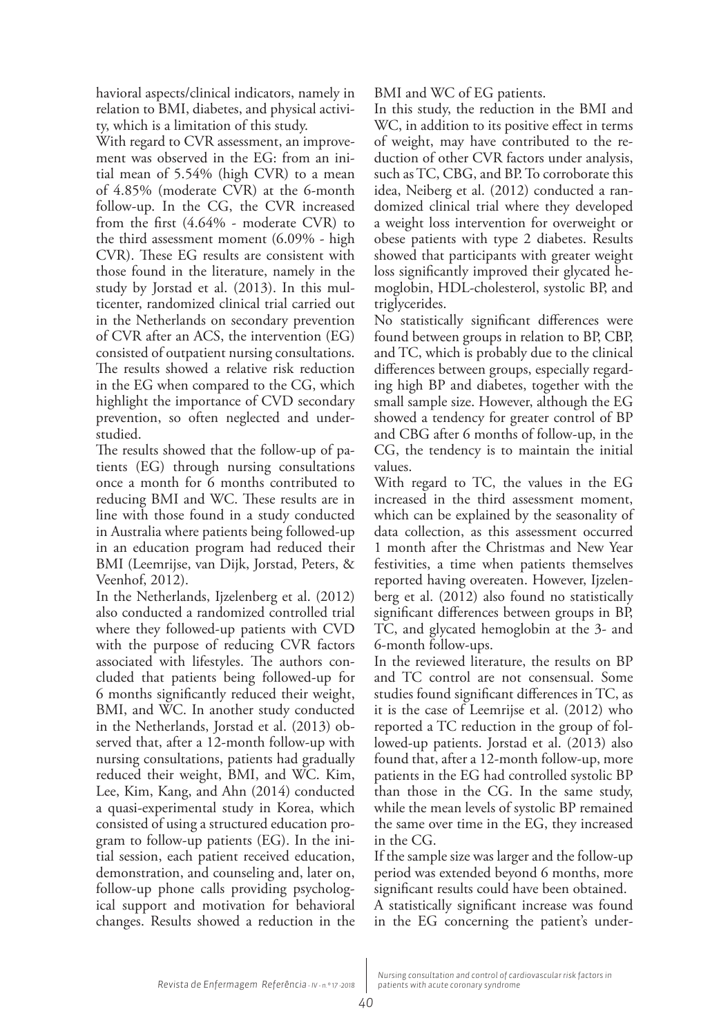havioral aspects/clinical indicators, namely in relation to BMI, diabetes, and physical activity, which is a limitation of this study.

With regard to CVR assessment, an improvement was observed in the EG: from an initial mean of 5.54% (high CVR) to a mean of 4.85% (moderate CVR) at the 6-month follow-up. In the CG, the CVR increased from the first (4.64% - moderate CVR) to the third assessment moment (6.09% - high CVR). These EG results are consistent with those found in the literature, namely in the study by Jorstad et al. (2013). In this multicenter, randomized clinical trial carried out in the Netherlands on secondary prevention of CVR after an ACS, the intervention (EG) consisted of outpatient nursing consultations. The results showed a relative risk reduction in the EG when compared to the CG, which highlight the importance of CVD secondary prevention, so often neglected and understudied.

The results showed that the follow-up of patients (EG) through nursing consultations once a month for 6 months contributed to reducing BMI and WC. These results are in line with those found in a study conducted in Australia where patients being followed-up in an education program had reduced their BMI (Leemrijse, van Dijk, Jorstad, Peters, & Veenhof, 2012).

In the Netherlands, Ijzelenberg et al. (2012) also conducted a randomized controlled trial where they followed-up patients with CVD with the purpose of reducing CVR factors associated with lifestyles. The authors concluded that patients being followed-up for 6 months significantly reduced their weight, BMI, and WC. In another study conducted in the Netherlands, Jorstad et al. (2013) observed that, after a 12-month follow-up with nursing consultations, patients had gradually reduced their weight, BMI, and WC. Kim, Lee, Kim, Kang, and Ahn (2014) conducted a quasi-experimental study in Korea, which consisted of using a structured education program to follow-up patients (EG). In the initial session, each patient received education, demonstration, and counseling and, later on, follow-up phone calls providing psychological support and motivation for behavioral changes. Results showed a reduction in the

BMI and WC of EG patients.

In this study, the reduction in the BMI and WC, in addition to its positive effect in terms of weight, may have contributed to the reduction of other CVR factors under analysis, such as TC, CBG, and BP. To corroborate this idea, Neiberg et al. (2012) conducted a randomized clinical trial where they developed a weight loss intervention for overweight or obese patients with type 2 diabetes. Results showed that participants with greater weight loss significantly improved their glycated hemoglobin, HDL-cholesterol, systolic BP, and triglycerides.

No statistically significant differences were found between groups in relation to BP, CBP, and TC, which is probably due to the clinical differences between groups, especially regarding high BP and diabetes, together with the small sample size. However, although the EG showed a tendency for greater control of BP and CBG after 6 months of follow-up, in the CG, the tendency is to maintain the initial values.

With regard to TC, the values in the EG increased in the third assessment moment, which can be explained by the seasonality of data collection, as this assessment occurred 1 month after the Christmas and New Year festivities, a time when patients themselves reported having overeaten. However, Ijzelenberg et al. (2012) also found no statistically significant differences between groups in BP, TC, and glycated hemoglobin at the 3- and 6-month follow-ups.

In the reviewed literature, the results on BP and TC control are not consensual. Some studies found significant differences in TC, as it is the case of Leemrijse et al. (2012) who reported a TC reduction in the group of followed-up patients. Jorstad et al. (2013) also found that, after a 12-month follow-up, more patients in the EG had controlled systolic BP than those in the CG. In the same study, while the mean levels of systolic BP remained the same over time in the EG, they increased in the CG.

If the sample size was larger and the follow-up period was extended beyond 6 months, more significant results could have been obtained.

A statistically significant increase was found in the EG concerning the patient's under-

*Nursing consultation and control of cardiovascular risk factors in patients with acute coronary syndrome*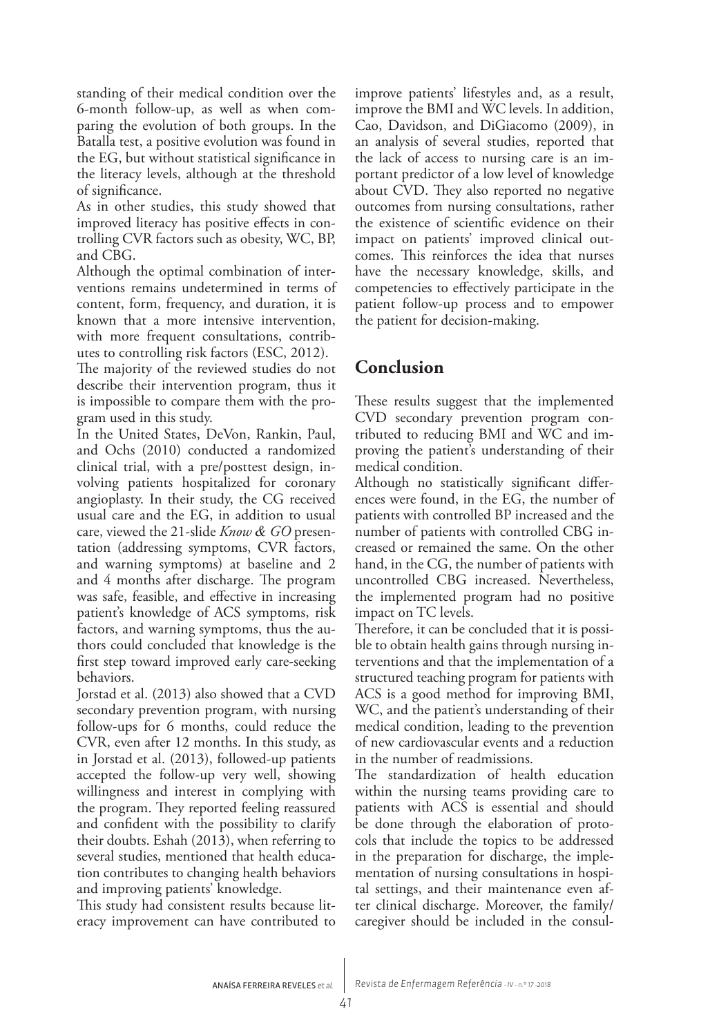standing of their medical condition over the 6-month follow-up, as well as when comparing the evolution of both groups. In the Batalla test, a positive evolution was found in the EG, but without statistical significance in the literacy levels, although at the threshold of significance.

As in other studies, this study showed that improved literacy has positive effects in controlling CVR factors such as obesity, WC, BP, and CBG.

Although the optimal combination of interventions remains undetermined in terms of content, form, frequency, and duration, it is known that a more intensive intervention, with more frequent consultations, contributes to controlling risk factors (ESC, 2012).

The majority of the reviewed studies do not describe their intervention program, thus it is impossible to compare them with the program used in this study.

In the United States, DeVon, Rankin, Paul, and Ochs (2010) conducted a randomized clinical trial, with a pre/posttest design, involving patients hospitalized for coronary angioplasty. In their study, the CG received usual care and the EG, in addition to usual care, viewed the 21-slide *Know & GO* presentation (addressing symptoms, CVR factors, and warning symptoms) at baseline and 2 and 4 months after discharge. The program was safe, feasible, and effective in increasing patient's knowledge of ACS symptoms, risk factors, and warning symptoms, thus the authors could concluded that knowledge is the first step toward improved early care-seeking behaviors.

Jorstad et al. (2013) also showed that a CVD secondary prevention program, with nursing follow-ups for 6 months, could reduce the CVR, even after 12 months. In this study, as in Jorstad et al. (2013), followed-up patients accepted the follow-up very well, showing willingness and interest in complying with the program. They reported feeling reassured and confident with the possibility to clarify their doubts. Eshah (2013), when referring to several studies, mentioned that health education contributes to changing health behaviors and improving patients' knowledge.

This study had consistent results because literacy improvement can have contributed to

improve patients' lifestyles and, as a result, improve the BMI and WC levels. In addition, Cao, Davidson, and DiGiacomo (2009), in an analysis of several studies, reported that the lack of access to nursing care is an important predictor of a low level of knowledge about CVD. They also reported no negative outcomes from nursing consultations, rather the existence of scientific evidence on their impact on patients' improved clinical outcomes. This reinforces the idea that nurses have the necessary knowledge, skills, and competencies to effectively participate in the patient follow-up process and to empower the patient for decision-making.

## **Conclusion**

These results suggest that the implemented CVD secondary prevention program contributed to reducing BMI and WC and improving the patient's understanding of their medical condition.

Although no statistically significant differences were found, in the EG, the number of patients with controlled BP increased and the number of patients with controlled CBG increased or remained the same. On the other hand, in the CG, the number of patients with uncontrolled CBG increased. Nevertheless, the implemented program had no positive impact on TC levels.

Therefore, it can be concluded that it is possible to obtain health gains through nursing interventions and that the implementation of a structured teaching program for patients with ACS is a good method for improving BMI, WC, and the patient's understanding of their medical condition, leading to the prevention of new cardiovascular events and a reduction in the number of readmissions.

The standardization of health education within the nursing teams providing care to patients with ACS is essential and should be done through the elaboration of protocols that include the topics to be addressed in the preparation for discharge, the implementation of nursing consultations in hospital settings, and their maintenance even after clinical discharge. Moreover, the family/ caregiver should be included in the consul-